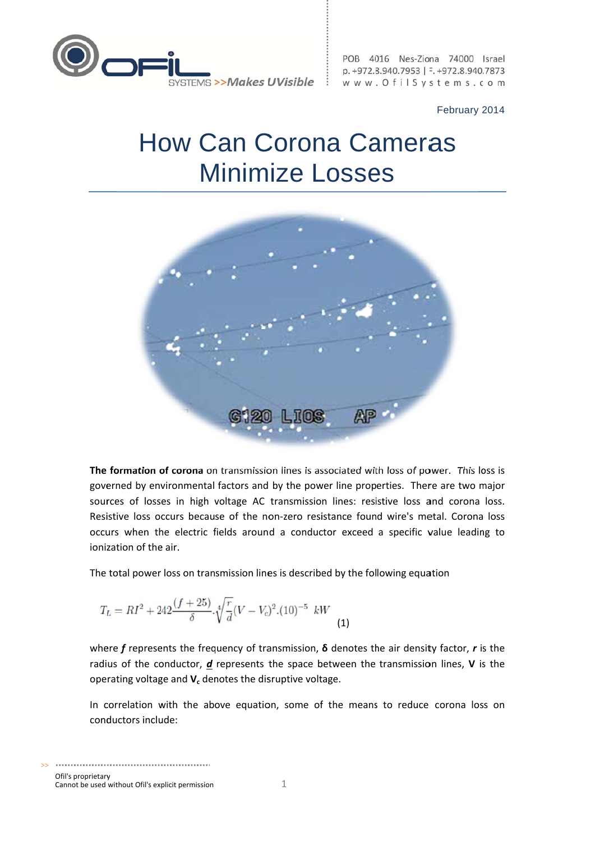

POB 4016 Nes-Ziona 74000 Israel p. +972.8.940.7953 | F. +972.8.940.7873 www.OfilSystems.com

February 2014

## **How Can Corona Cameras Minimize Losses**



The formation of corona on transmission lines is associated with loss of power. This loss is governed by environmental factors and by the power line properties. There are two major sources of losses in high voltage AC transmission lines: resistive loss and corona loss. Resistive loss occurs because of the non-zero resistance found wire's metal. Corona loss occurs when the electric fields around a conductor exceed a specific value leading to ionization of the air.

The total power loss on transmission lines is described by the following equation

$$
T_L = RI^2 + 242 \frac{(f+25)}{\delta} \cdot \sqrt[4]{\frac{r}{d}} (V - V_c)^2 (10)^{-5} \quad kW
$$
 (1)

where f represents the frequency of transmission,  $\delta$  denotes the air density factor, r is the radius of the conductor,  $d$  represents the space between the transmission lines,  $V$  is the operating voltage and  $V_c$  denotes the disruptive voltage.

In correlation with the above equation, some of the means to reduce corona loss on conductors include: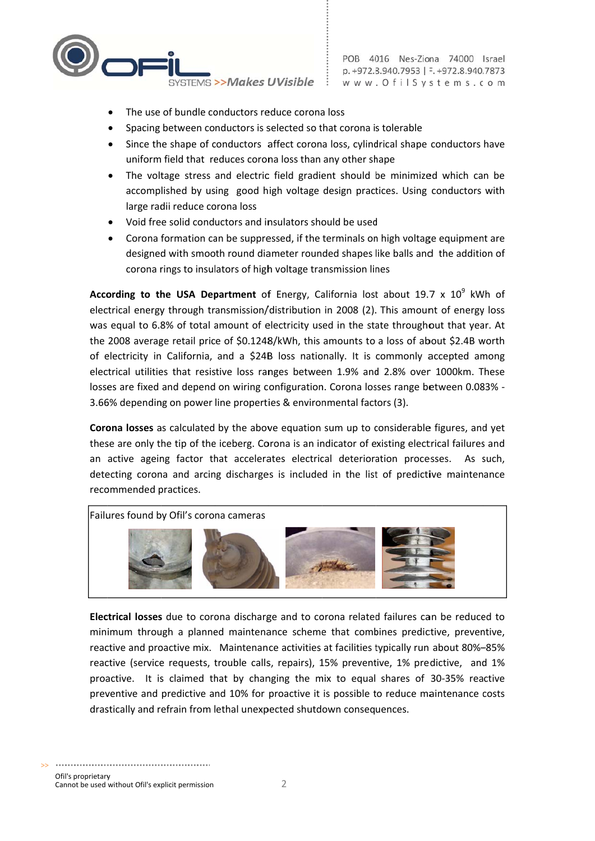

- The use of bundle conductors reduce corona loss
- Spacing between conductors is selected so that corona is tolerable
- Since the shape of conductors affect corona loss, cylindrical shape conductors have uniform field that reduces corona loss than any other shape
- The voltage stress and electric field gradient should be minimized which can be accomplished by using good high voltage design practices. Using conductors with large radii reduce corona loss
- Void free solid conductors and insulators should be used
- Corona formation can be suppressed, if the terminals on high voltage equipment are designed with smooth round diameter rounded shapes like balls and the addition of corona rings to insulators of high voltage transmission lines

**According to the USA Department of Energy, California lost about 19.7 x 10<sup>9</sup> kWh of** electrical energy through transmission/distribution in 2008 (2). This amount of energy loss was equal to 6.8% of total amount of electricity used in the state throughout that year. At the 2008 average retail price of \$0.1248/kWh, this amounts to a loss of about \$2.4B worth of electricity in California, and a \$24B loss nationally. It is commonly accepted among electrical utilities that resistive loss ranges between 1.9% and 2.8% over 1000km. These losses are fixed and depend on wiring configuration. Corona losses range between 0.083% -3.66% depending on power line properties & environmental factors (3).

Corona losses as calculated by the above equation sum up to considerable figures, and yet these are only the tip of the iceberg. Corona is an indicator of existing electrical failures and an active ageing factor that accelerates electrical deterioration processes. As such, detecting corona and arcing discharges is included in the list of predictive maintenance recommended practices.



Electrical losses due to corona discharge and to corona related failures can be reduced to minimum through a planned maintenance scheme that combines predictive, preventive, reactive and proactive mix. Maintenance activities at facilities typically run about 80%-85% reactive (service requests, trouble calls, repairs), 15% preventive, 1% predictive, and 1% proactive. It is claimed that by changing the mix to equal shares of 30-35% reactive preventive and predictive and 10% for proactive it is possible to reduce maintenance costs drastically and refrain from lethal unexpected shutdown consequences.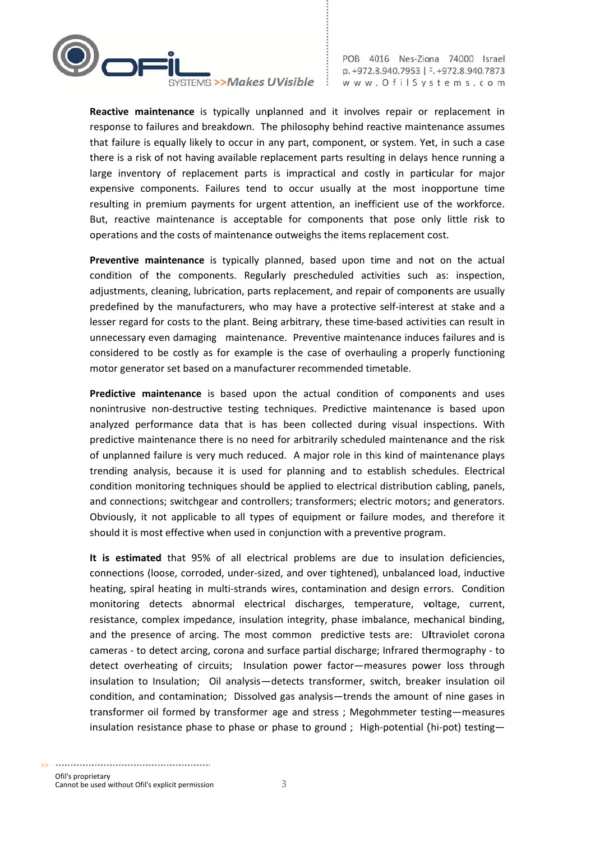

Reactive maintenance is typically unplanned and it involves repair or replacement in response to failures and breakdown. The philosophy behind reactive maintenance assumes that failure is equally likely to occur in any part, component, or system. Yet, in such a case there is a risk of not having available replacement parts resulting in delays hence running a large inventory of replacement parts is impractical and costly in particular for major expensive components. Failures tend to occur usually at the most inopportune time resulting in premium payments for urgent attention, an inefficient use of the workforce. But, reactive maintenance is acceptable for components that pose only little risk to operations and the costs of maintenance outweighs the items replacement cost.

Preventive maintenance is typically planned, based upon time and not on the actual condition of the components. Regularly prescheduled activities such as: inspection, adjustments, cleaning, lubrication, parts replacement, and repair of components are usually predefined by the manufacturers, who may have a protective self-interest at stake and a lesser regard for costs to the plant. Being arbitrary, these time-based activities can result in unnecessary even damaging maintenance. Preventive maintenance induces failures and is considered to be costly as for example is the case of overhauling a properly functioning motor generator set based on a manufacturer recommended timetable.

Predictive maintenance is based upon the actual condition of components and uses nonintrusive non-destructive testing techniques. Predictive maintenance is based upon analyzed performance data that is has been collected during visual inspections. With predictive maintenance there is no need for arbitrarily scheduled maintenance and the risk of unplanned failure is very much reduced. A major role in this kind of maintenance plays trending analysis, because it is used for planning and to establish schedules. Electrical condition monitoring techniques should be applied to electrical distribution cabling, panels, and connections; switchgear and controllers; transformers; electric motors; and generators. Obviously, it not applicable to all types of equipment or failure modes, and therefore it should it is most effective when used in conjunction with a preventive program.

It is estimated that 95% of all electrical problems are due to insulation deficiencies, connections (loose, corroded, under-sized, and over tightened), unbalanced load, inductive heating, spiral heating in multi-strands wires, contamination and design errors. Condition monitoring detects abnormal electrical discharges, temperature, voltage, current, resistance, complex impedance, insulation integrity, phase imbalance, mechanical binding, and the presence of arcing. The most common predictive tests are: Ultraviolet corona cameras - to detect arcing, corona and surface partial discharge; Infrared thermography - to detect overheating of circuits; Insulation power factor-measures power loss through insulation to Insulation; Oil analysis-detects transformer, switch, breaker insulation oil condition, and contamination; Dissolved gas analysis—trends the amount of nine gases in transformer oil formed by transformer age and stress; Megohmmeter testing-measures insulation resistance phase to phase or phase to ground ; High-potential (hi-pot) testing-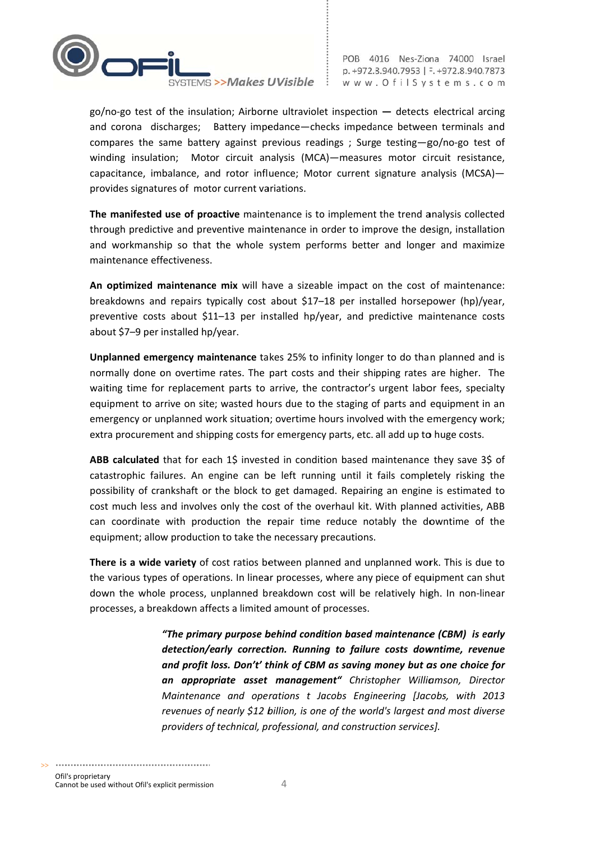

 $g$ o/no-go test of the insulation; Airborne ultraviolet inspection  $-$  detects electrical arcing and corona discharges; Battery impedance-checks impedance between terminals and compares the same battery against previous readings; Surge testing-go/no-go test of winding insulation; Motor circuit analysis (MCA)-measures motor circuit resistance, capacitance, imbalance, and rotor influence; Motor current signature analysis (MCSA)provides signatures of motor current variations.

The manifested use of proactive maintenance is to implement the trend analysis collected through predictive and preventive maintenance in order to improve the design, installation and workmanship so that the whole system performs better and longer and maximize maintenance effectiveness.

An optimized maintenance mix will have a sizeable impact on the cost of maintenance: breakdowns and repairs typically cost about \$17-18 per installed horsepower (hp)/year, preventive costs about \$11-13 per installed hp/year, and predictive maintenance costs about \$7-9 per installed hp/year.

Unplanned emergency maintenance takes 25% to infinity longer to do than planned and is normally done on overtime rates. The part costs and their shipping rates are higher. The waiting time for replacement parts to arrive, the contractor's urgent labor fees, specialty equipment to arrive on site; wasted hours due to the staging of parts and equipment in an emergency or unplanned work situation; overtime hours involved with the emergency work; extra procurement and shipping costs for emergency parts, etc. all add up to huge costs.

ABB calculated that for each 1\$ invested in condition based maintenance they save 3\$ of catastrophic failures. An engine can be left running until it fails completely risking the possibility of crankshaft or the block to get damaged. Repairing an engine is estimated to cost much less and involves only the cost of the overhaul kit. With planned activities, ABB can coordinate with production the repair time reduce notably the downtime of the equipment; allow production to take the necessary precautions.

There is a wide variety of cost ratios between planned and unplanned work. This is due to the various types of operations. In linear processes, where any piece of equipment can shut down the whole process, unplanned breakdown cost will be relatively high. In non-linear processes, a breakdown affects a limited amount of processes.

> "The primary purpose behind condition based maintenance (CBM) is early detection/early correction. Running to failure costs downtime, revenue and profit loss. Don't' think of CBM as saving money but as one choice for an appropriate asset management" Christopher Williamson, Director Maintenance and operations t Jacobs Engineering [Jacobs, with 2013 revenues of nearly \$12 billion, is one of the world's largest and most diverse providers of technical, professional, and construction services].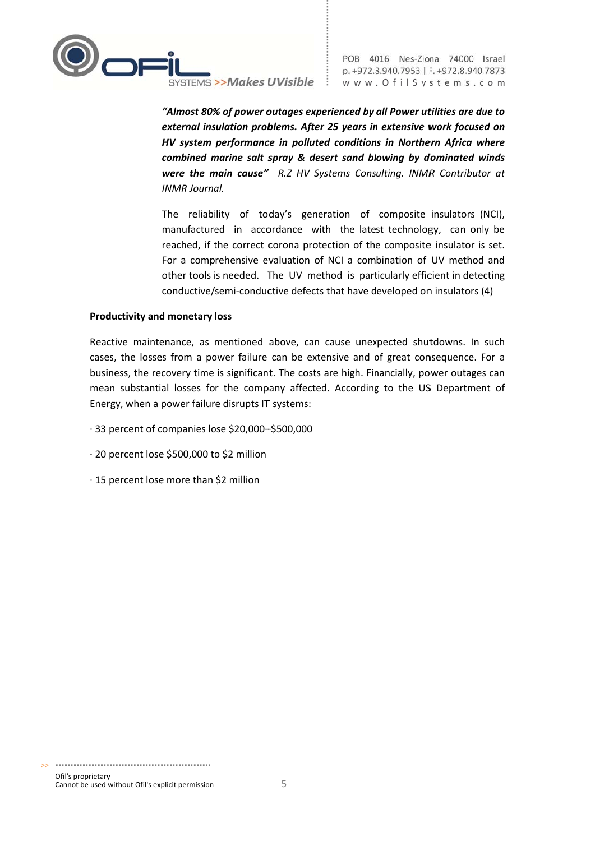

"Almost 80% of power outages experienced by all Power utilities are due to external insulation problems. After 25 years in extensive work focused on HV system performance in polluted conditions in Northern Africa where combined marine salt spray & desert sand blowing by dominated winds were the main cause" R.Z HV Systems Consulting. INMR Contributor at **INMR Journal.** 

The reliability of today's generation of composite insulators (NCI), manufactured in accordance with the latest technology, can only be reached, if the correct corona protection of the composite insulator is set. For a comprehensive evaluation of NCI a combination of UV method and other tools is needed. The UV method is particularly efficient in detecting conductive/semi-conductive defects that have developed on insulators (4)

## **Productivity and monetary loss**

Reactive maintenance, as mentioned above, can cause unexpected shutdowns. In such cases, the losses from a power failure can be extensive and of great consequence. For a business, the recovery time is significant. The costs are high. Financially, power outages can mean substantial losses for the company affected. According to the US Department of Energy, when a power failure disrupts IT systems:

- · 33 percent of companies lose \$20,000-\$500,000
- · 20 percent lose \$500,000 to \$2 million
- · 15 percent lose more than \$2 million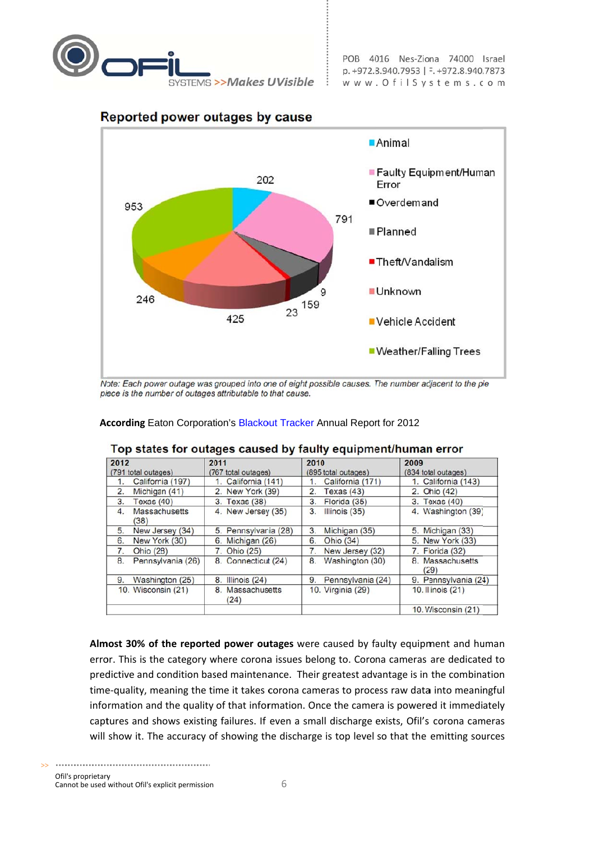

POB 4016 Nes-Ziona 74000 Israel p. +972.8.940.7953 | F. +972.8.940.7873 www.OfilSystems.com



## Reported power outages by cause

Note: Each power outage was grouped into one of eight possible causes. The number adjacent to the pie piece is the number of outages attributable to that cause.

## Top states for outages caused by faulty equipment/human error

According Eaton Corporation's Blackout Tracker Annual Report for 2012

| 2012                        | 2011                     | 2010                              | 2009                         |
|-----------------------------|--------------------------|-----------------------------------|------------------------------|
| (791 total outages)         | (767 total outages)      | (895 total outages)               | (834 total outages)          |
| California (197)<br>1.      | 1. California (141)      | California (171)                  | 1. California (143)          |
| 2.<br>Michigan (41)         | 2. New York (39)         | 2.<br>Texas $(43)$                | 2. Ohio (42)                 |
| 3.<br>Texas $(40)$          | 3. Texas (38)            | Florida (35)<br>3.                | 3. Texas (40)                |
| Massachusetts<br>4.<br>(38) | 4. New Jersey (35)       | 3.<br>Illinois (35)               | 4. Washington (39)           |
| 5.<br>New Jersey (34)       | 5. Pennsylvania (28)     | 3.<br>Michigan (35)               | 5. Michigan (33)             |
| 6.<br>New York (30)         | 6. Michigan (26)         | 6.<br>Ohio (34)                   | 5. New York (33)             |
| Ohio (28)<br>7.             | 7. Ohio (25)             | 7 <sup>1</sup><br>New Jersey (32) | 7. Florida (32)              |
| Pennsylvania (26)<br>8.     | 8. Connecticut (24)      | Washington (30)<br>8.             | <b>Massachusetts</b><br>(29) |
| Washington (25)<br>9.       | 8. Illinois (24)         | 9.<br>Pennsylvania (24)           | 9. Pennsylvania (24)         |
| 10. Wisconsin (21)          | 8. Massachusetts<br>(24) | 10. Virginia (29)                 | 10. Illinois (21)            |
|                             |                          |                                   | 10. Wisconsin (21)           |

Almost 30% of the reported power outages were caused by faulty equipment and human error. This is the category where corona issues belong to. Corona cameras are dedicated to predictive and condition based maintenance. Their greatest advantage is in the combination time-quality, meaning the time it takes corona cameras to process raw data into meaningful information and the quality of that information. Once the camera is powered it immediately captures and shows existing failures. If even a small discharge exists, Ofil's corona cameras will show it. The accuracy of showing the discharge is top level so that the emitting sources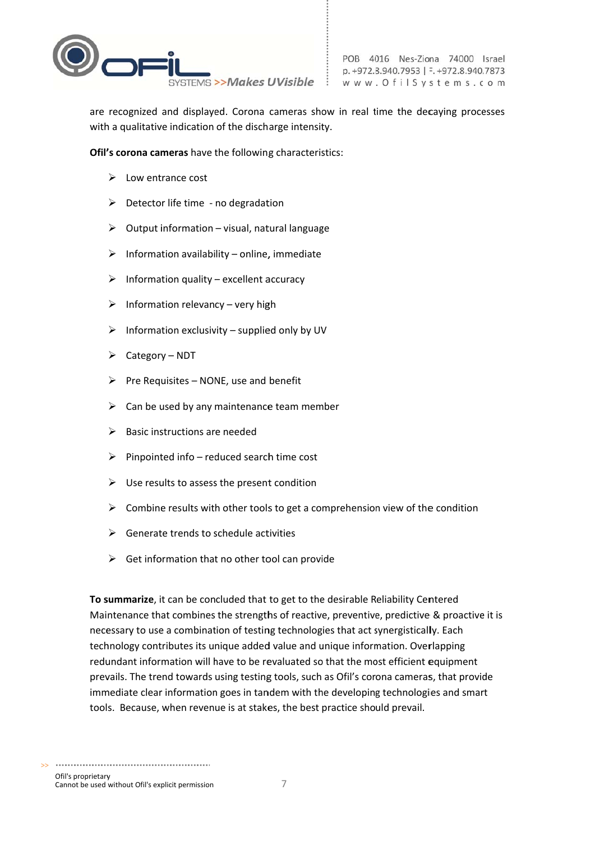

are recognized and displayed. Corona cameras show in real time the decaying processes with a qualitative indication of the discharge intensity.

Ofil's corona cameras have the following characteristics:

- $\triangleright$  Low entrance cost
- $\triangleright$  Detector life time no degradation
- $\triangleright$  Output information visual, natural language
- $\triangleright$  Information availability online, immediate
- $\triangleright$  Information quality excellent accuracy
- $\triangleright$  Information relevancy very high
- $\triangleright$  Information exclusivity supplied only by UV
- $\triangleright$  Category NDT
- $\triangleright$  Pre Requisites NONE, use and benefit
- $\triangleright$  Can be used by any maintenance team member
- $\triangleright$  Basic instructions are needed
- $\triangleright$  Pinpointed info reduced search time cost
- $\triangleright$  Use results to assess the present condition
- $\triangleright$  Combine results with other tools to get a comprehension view of the condition
- $\triangleright$  Generate trends to schedule activities
- $\triangleright$  Get information that no other tool can provide

To summarize, it can be concluded that to get to the desirable Reliability Centered Maintenance that combines the strengths of reactive, preventive, predictive & proactive it is necessary to use a combination of testing technologies that act synergistically. Each technology contributes its unique added value and unique information. Overlapping redundant information will have to be revaluated so that the most efficient equipment prevails. The trend towards using testing tools, such as Ofil's corona cameras, that provide immediate clear information goes in tandem with the developing technologies and smart tools. Because, when revenue is at stakes, the best practice should prevail.